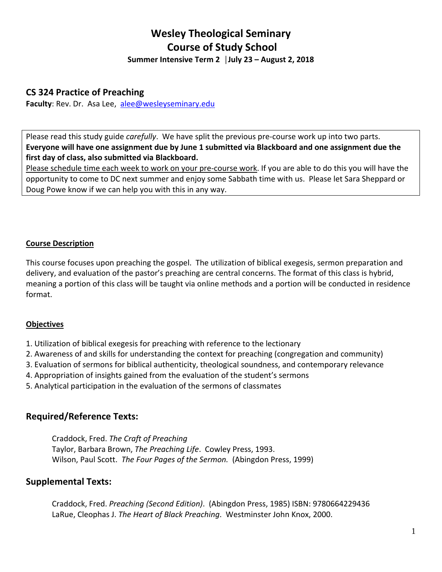# **Wesley Theological Seminary Course of Study School**

**Summer Intensive Term 2 │July 23 – August 2, 2018**

## **CS 324 Practice of Preaching**

Faculty: Rev. Dr. Asa Lee, alee@wesleyseminary.edu

Please read this study guide *carefully*. We have split the previous pre‐course work up into two parts. **Everyone will have one assignment due by June 1 submitted via Blackboard and one assignment due the first day of class, also submitted via Blackboard.** 

Please schedule time each week to work on your pre‐course work. If you are able to do this you will have the opportunity to come to DC next summer and enjoy some Sabbath time with us. Please let Sara Sheppard or Doug Powe know if we can help you with this in any way.

## **Course Description**

This course focuses upon preaching the gospel. The utilization of biblical exegesis, sermon preparation and delivery, and evaluation of the pastor's preaching are central concerns. The format of this class is hybrid, meaning a portion of this class will be taught via online methods and a portion will be conducted in residence format.

#### **Objectives**

- 1. Utilization of biblical exegesis for preaching with reference to the lectionary
- 2. Awareness of and skills for understanding the context for preaching (congregation and community)
- 3. Evaluation of sermons for biblical authenticity, theological soundness, and contemporary relevance
- 4. Appropriation of insights gained from the evaluation of the student's sermons
- 5. Analytical participation in the evaluation of the sermons of classmates

# **Required/Reference Texts:**

Craddock, Fred. *The Craft of Preaching* Taylor, Barbara Brown, *The Preaching Life*. Cowley Press, 1993. Wilson, Paul Scott. *The Four Pages of the Sermon.* (Abingdon Press, 1999)

## **Supplemental Texts:**

Craddock, Fred. *Preaching (Second Edition)*. (Abingdon Press, 1985) ISBN: 9780664229436 LaRue, Cleophas J. *The Heart of Black Preaching*. Westminster John Knox, 2000.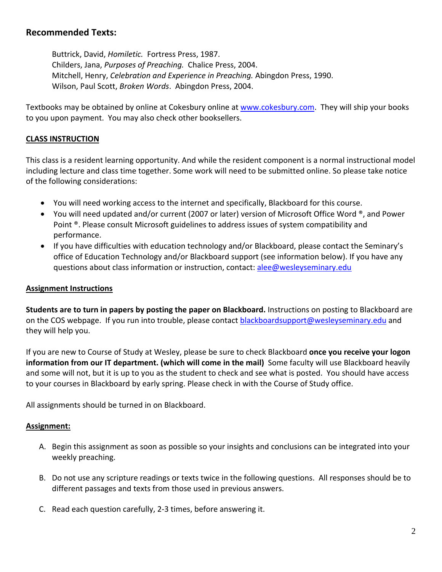## **Recommended Texts:**

Buttrick, David, *Homiletic.* Fortress Press, 1987. Childers, Jana, *Purposes of Preaching.* Chalice Press, 2004. Mitchell, Henry, *Celebration and Experience in Preaching.* Abingdon Press, 1990. Wilson, Paul Scott, *Broken Words*. Abingdon Press, 2004.

Textbooks may be obtained by online at Cokesbury online at www.cokesbury.com. They will ship your books to you upon payment. You may also check other booksellers.

#### **CLASS INSTRUCTION**

This class is a resident learning opportunity. And while the resident component is a normal instructional model including lecture and class time together. Some work will need to be submitted online. So please take notice of the following considerations:

- You will need working access to the internet and specifically, Blackboard for this course.
- You will need updated and/or current (2007 or later) version of Microsoft Office Word <sup>®</sup>, and Power Point <sup>®</sup>. Please consult Microsoft guidelines to address issues of system compatibility and performance.
- If you have difficulties with education technology and/or Blackboard, please contact the Seminary's office of Education Technology and/or Blackboard support (see information below). If you have any questions about class information or instruction, contact: alee@wesleyseminary.edu

#### **Assignment Instructions**

**Students are to turn in papers by posting the paper on Blackboard.** Instructions on posting to Blackboard are on the COS webpage. If you run into trouble, please contact blackboardsupport@wesleyseminary.edu and they will help you.

If you are new to Course of Study at Wesley, please be sure to check Blackboard **once you receive your logon information from our IT department. (which will come in the mail)** Some faculty will use Blackboard heavily and some will not, but it is up to you as the student to check and see what is posted. You should have access to your courses in Blackboard by early spring. Please check in with the Course of Study office.

All assignments should be turned in on Blackboard.

#### **Assignment:**

- A. Begin this assignment as soon as possible so your insights and conclusions can be integrated into your weekly preaching.
- B. Do not use any scripture readings or texts twice in the following questions. All responses should be to different passages and texts from those used in previous answers.
- C. Read each question carefully, 2‐3 times, before answering it.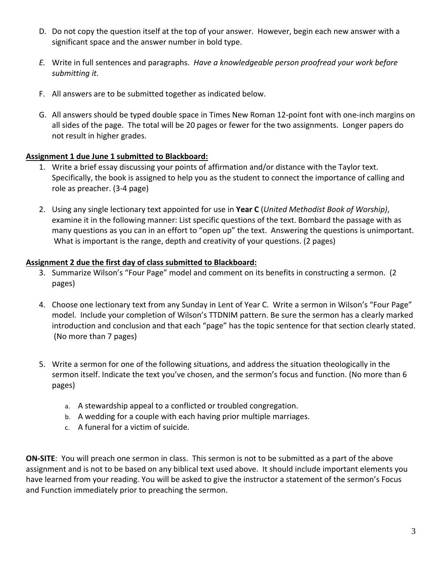- D. Do not copy the question itself at the top of your answer. However, begin each new answer with a significant space and the answer number in bold type.
- *E.* Write in full sentences and paragraphs. *Have a knowledgeable person proofread your work before submitting it.*
- F. All answers are to be submitted together as indicated below.
- G. All answers should be typed double space in Times New Roman 12‐point font with one‐inch margins on all sides of the page. The total will be 20 pages or fewer for the two assignments. Longer papers do not result in higher grades.

## **Assignment 1 due June 1 submitted to Blackboard:**

- 1. Write a brief essay discussing your points of affirmation and/or distance with the Taylor text. Specifically, the book is assigned to help you as the student to connect the importance of calling and role as preacher. (3‐4 page)
- 2. Using any single lectionary text appointed for use in **Year C** (*United Methodist Book of Worship)*, examine it in the following manner: List specific questions of the text. Bombard the passage with as many questions as you can in an effort to "open up" the text. Answering the questions is unimportant. What is important is the range, depth and creativity of your questions. (2 pages)

#### **Assignment 2 due the first day of class submitted to Blackboard:**

- 3. Summarize Wilson's "Four Page" model and comment on its benefits in constructing a sermon. (2 pages)
- 4. Choose one lectionary text from any Sunday in Lent of Year C. Write a sermon in Wilson's "Four Page" model. Include your completion of Wilson's TTDNIM pattern. Be sure the sermon has a clearly marked introduction and conclusion and that each "page" has the topic sentence for that section clearly stated. (No more than 7 pages)
- 5. Write a sermon for one of the following situations, and address the situation theologically in the sermon itself. Indicate the text you've chosen, and the sermon's focus and function. (No more than 6 pages)
	- a. A stewardship appeal to a conflicted or troubled congregation.
	- b. A wedding for a couple with each having prior multiple marriages.
	- c. A funeral for a victim of suicide.

**ON-SITE:** You will preach one sermon in class. This sermon is not to be submitted as a part of the above assignment and is not to be based on any biblical text used above. It should include important elements you have learned from your reading. You will be asked to give the instructor a statement of the sermon's Focus and Function immediately prior to preaching the sermon.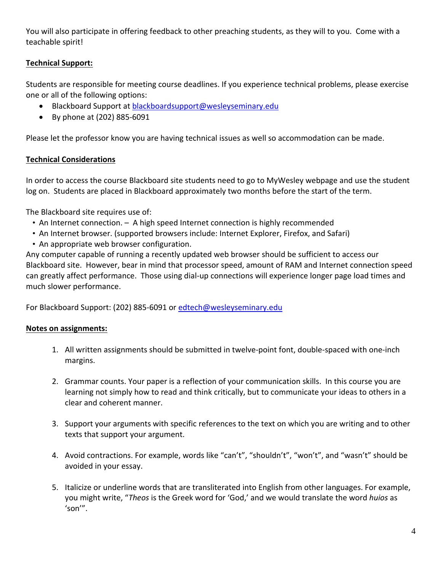You will also participate in offering feedback to other preaching students, as they will to you. Come with a teachable spirit!

## **Technical Support:**

Students are responsible for meeting course deadlines. If you experience technical problems, please exercise one or all of the following options:

- Blackboard Support at blackboardsupport@wesleyseminary.edu
- By phone at (202) 885‐6091

Please let the professor know you are having technical issues as well so accommodation can be made.

#### **Technical Considerations**

In order to access the course Blackboard site students need to go to MyWesley webpage and use the student log on. Students are placed in Blackboard approximately two months before the start of the term.

The Blackboard site requires use of:

- An Internet connection. A high speed Internet connection is highly recommended
- An Internet browser. (supported browsers include: Internet Explorer, Firefox, and Safari)
- An appropriate web browser configuration.

Any computer capable of running a recently updated web browser should be sufficient to access our Blackboard site. However, bear in mind that processor speed, amount of RAM and Internet connection speed can greatly affect performance. Those using dial‐up connections will experience longer page load times and much slower performance.

For Blackboard Support: (202) 885-6091 or edtech@wesleyseminary.edu

#### **Notes on assignments:**

- 1. All written assignments should be submitted in twelve‐point font, double‐spaced with one‐inch margins.
- 2. Grammar counts. Your paper is a reflection of your communication skills. In this course you are learning not simply how to read and think critically, but to communicate your ideas to others in a clear and coherent manner.
- 3. Support your arguments with specific references to the text on which you are writing and to other texts that support your argument.
- 4. Avoid contractions. For example, words like "can't", "shouldn't", "won't", and "wasn't" should be avoided in your essay.
- 5. Italicize or underline words that are transliterated into English from other languages. For example, you might write, "*Theos* is the Greek word for 'God,' and we would translate the word *huios* as 'son'".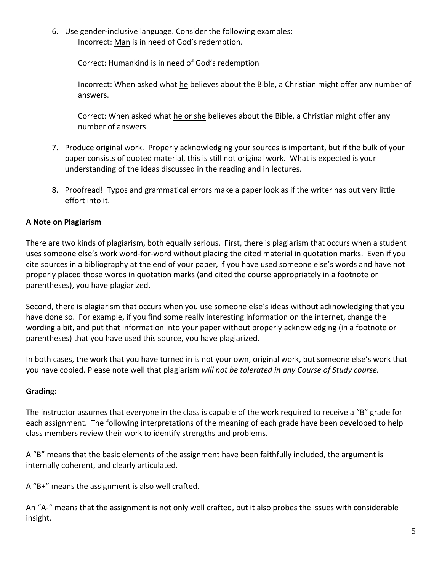6. Use gender‐inclusive language. Consider the following examples: Incorrect: Man is in need of God's redemption.

Correct: Humankind is in need of God's redemption

Incorrect: When asked what he believes about the Bible, a Christian might offer any number of answers.

Correct: When asked what he or she believes about the Bible, a Christian might offer any number of answers.

- 7. Produce original work. Properly acknowledging your sources is important, but if the bulk of your paper consists of quoted material, this is still not original work. What is expected is your understanding of the ideas discussed in the reading and in lectures.
- 8. Proofread! Typos and grammatical errors make a paper look as if the writer has put very little effort into it.

## **A Note on Plagiarism**

There are two kinds of plagiarism, both equally serious. First, there is plagiarism that occurs when a student uses someone else's work word‐for‐word without placing the cited material in quotation marks. Even if you cite sources in a bibliography at the end of your paper, if you have used someone else's words and have not properly placed those words in quotation marks (and cited the course appropriately in a footnote or parentheses), you have plagiarized.

Second, there is plagiarism that occurs when you use someone else's ideas without acknowledging that you have done so. For example, if you find some really interesting information on the internet, change the wording a bit, and put that information into your paper without properly acknowledging (in a footnote or parentheses) that you have used this source, you have plagiarized.

In both cases, the work that you have turned in is not your own, original work, but someone else's work that you have copied. Please note well that plagiarism *will not be tolerated in any Course of Study course.*

## **Grading:**

The instructor assumes that everyone in the class is capable of the work required to receive a "B" grade for each assignment. The following interpretations of the meaning of each grade have been developed to help class members review their work to identify strengths and problems.

A "B" means that the basic elements of the assignment have been faithfully included, the argument is internally coherent, and clearly articulated.

A "B+" means the assignment is also well crafted.

An "A‐" means that the assignment is not only well crafted, but it also probes the issues with considerable insight.